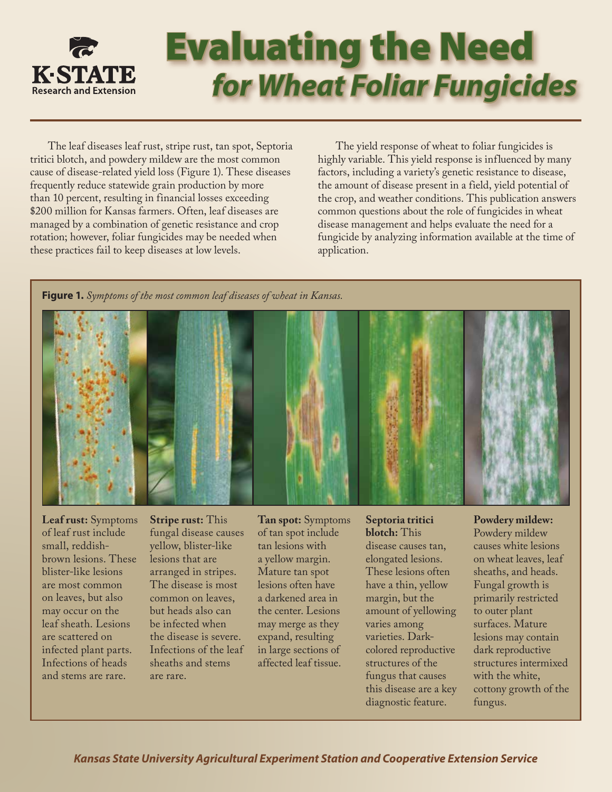

# Evaluating the Need *for Wheat Foliar Fungicides*

The leaf diseases leaf rust, stripe rust, tan spot, Septoria tritici blotch, and powdery mildew are the most common cause of disease-related yield loss (Figure 1). These diseases frequently reduce statewide grain production by more than 10 percent, resulting in financial losses exceeding \$200 million for Kansas farmers. Often, leaf diseases are managed by a combination of genetic resistance and crop rotation; however, foliar fungicides may be needed when these practices fail to keep diseases at low levels.

The yield response of wheat to foliar fungicides is highly variable. This yield response is influenced by many factors, including a variety's genetic resistance to disease, the amount of disease present in a field, yield potential of the crop, and weather conditions. This publication answers common questions about the role of fungicides in wheat disease management and helps evaluate the need for a fungicide by analyzing information available at the time of application.

**Figure 1.** *Symptoms of the most common leaf diseases of wheat in Kansas.*



**Leaf rust:** Symptoms of leaf rust include small, reddishbrown lesions. These blister-like lesions are most common on leaves, but also may occur on the leaf sheath. Lesions are scattered on infected plant parts. Infections of heads and stems are rare.

**Stripe rust:** This fungal disease causes yellow, blister-like lesions that are arranged in stripes. The disease is most common on leaves, but heads also can be infected when the disease is severe. Infections of the leaf sheaths and stems are rare.

**Tan spot:** Symptoms of tan spot include tan lesions with a yellow margin. Mature tan spot lesions often have a darkened area in the center. Lesions may merge as they expand, resulting in large sections of affected leaf tissue.

**Septoria tritici blotch:** This

disease causes tan, elongated lesions. These lesions often have a thin, yellow margin, but the amount of yellowing varies among varieties. Darkcolored reproductive structures of the fungus that causes this disease are a key diagnostic feature.

**Powdery mildew:** Powdery mildew causes white lesions on wheat leaves, leaf sheaths, and heads. Fungal growth is primarily restricted to outer plant surfaces. Mature lesions may contain dark reproductive structures intermixed with the white, cottony growth of the fungus.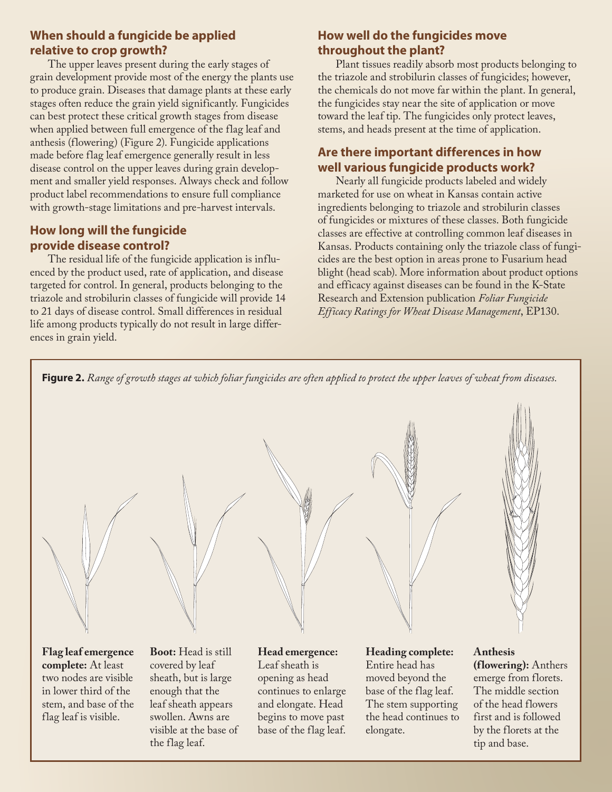## **When should a fungicide be applied relative to crop growth?**

The upper leaves present during the early stages of grain development provide most of the energy the plants use to produce grain. Diseases that damage plants at these early stages often reduce the grain yield significantly. Fungicides can best protect these critical growth stages from disease when applied between full emergence of the flag leaf and anthesis (flowering) (Figure 2). Fungicide applications made before flag leaf emergence generally result in less disease control on the upper leaves during grain development and smaller yield responses. Always check and follow product label recommendations to ensure full compliance with growth-stage limitations and pre-harvest intervals.

# **How long will the fungicide provide disease control?**

The residual life of the fungicide application is influenced by the product used, rate of application, and disease targeted for control. In general, products belonging to the triazole and strobilurin classes of fungicide will provide 14 to 21 days of disease control. Small differences in residual life among products typically do not result in large differences in grain yield.

# **How well do the fungicides move throughout the plant?**

Plant tissues readily absorb most products belonging to the triazole and strobilurin classes of fungicides; however, the chemicals do not move far within the plant. In general, the fungicides stay near the site of application or move toward the leaf tip. The fungicides only protect leaves, stems, and heads present at the time of application.

# **Are there important differences in how well various fungicide products work?**

Nearly all fungicide products labeled and widely marketed for use on wheat in Kansas contain active ingredients belonging to triazole and strobilurin classes of fungicides or mixtures of these classes. Both fungicide classes are effective at controlling common leaf diseases in Kansas. Products containing only the triazole class of fungicides are the best option in areas prone to Fusarium head blight (head scab). More information about product options and efficacy against diseases can be found in the K-State Research and Extension publication *Foliar Fungicide Efficacy Ratings for Wheat Disease Management*, EP130.





**Flag leaf emergence complete:** At least two nodes are visible in lower third of the stem, and base of the flag leaf is visible.

**Boot:** Head is still covered by leaf sheath, but is large enough that the leaf sheath appears swollen. Awns are visible at the base of the flag leaf.

**Head emergence:** Leaf sheath is opening as head continues to enlarge and elongate. Head begins to move past base of the flag leaf.

**Heading complete:** Entire head has moved beyond the base of the flag leaf. The stem supporting the head continues to elongate.

#### **Anthesis (flowering):** Anthers emerge from florets. The middle section of the head flowers first and is followed by the florets at the tip and base.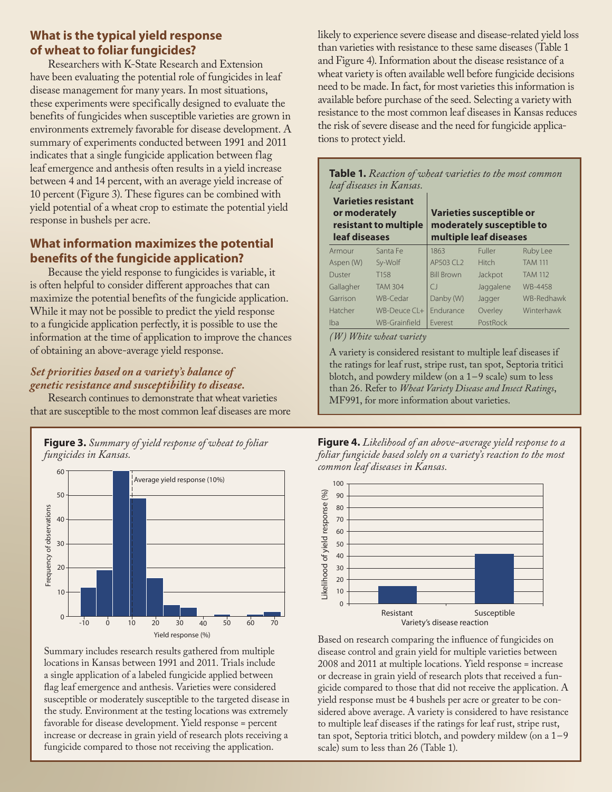#### **What is the typical yield response of wheat to foliar fungicides?**

Researchers with K-State Research and Extension have been evaluating the potential role of fungicides in leaf disease management for many years. In most situations, these experiments were specifically designed to evaluate the benefits of fungicides when susceptible varieties are grown in environments extremely favorable for disease development. A summary of experiments conducted between 1991 and 2011 indicates that a single fungicide application between flag leaf emergence and anthesis often results in a yield increase between 4 and 14 percent, with an average yield increase of 10 percent (Figure 3). These figures can be combined with yield potential of a wheat crop to estimate the potential yield response in bushels per acre.

## **What information maximizes the potential benefits of the fungicide application?**

Because the yield response to fungicides is variable, it is often helpful to consider different approaches that can maximize the potential benefits of the fungicide application. While it may not be possible to predict the yield response to a fungicide application perfectly, it is possible to use the information at the time of application to improve the chances of obtaining an above-average yield response.

## *Set priorities based on a variety's balance of genetic resistance and susceptibility to disease.*

Research continues to demonstrate that wheat varieties that are susceptible to the most common leaf diseases are more



Summary includes research results gathered from multiple locations in Kansas between 1991 and 2011. Trials include a single application of a labeled fungicide applied between flag leaf emergence and anthesis. Varieties were considered susceptible or moderately susceptible to the targeted disease in the study. Environment at the testing locations was extremely favorable for disease development. Yield response = percent increase or decrease in grain yield of research plots receiving a fungicide compared to those not receiving the application.

likely to experience severe disease and disease-related yield loss than varieties with resistance to these same diseases (Table 1 and Figure 4). Information about the disease resistance of a wheat variety is often available well before fungicide decisions need to be made. In fact, for most varieties this information is available before purchase of the seed. Selecting a variety with resistance to the most common leaf diseases in Kansas reduces the risk of severe disease and the need for fungicide applications to protect yield.

| <b>Table 1.</b> Reaction of wheat varieties to the most common<br>leaf diseases in Kansas. |                    |                                                                                 |              |                |  |  |
|--------------------------------------------------------------------------------------------|--------------------|---------------------------------------------------------------------------------|--------------|----------------|--|--|
| <b>Varieties resistant</b><br>or moderately<br>resistant to multiple<br>leaf diseases      |                    | Varieties susceptible or<br>moderately susceptible to<br>multiple leaf diseases |              |                |  |  |
| Armour                                                                                     | Santa Fe           | 1863                                                                            | Fuller       | Ruby Lee       |  |  |
| Aspen (W)                                                                                  | Sy-Wolf            | AP503 CL2                                                                       | <b>Hitch</b> | <b>TAM 111</b> |  |  |
| Duster                                                                                     | T <sub>158</sub>   | <b>Bill Brown</b>                                                               | Jackpot      | <b>TAM 112</b> |  |  |
| Gallagher                                                                                  | <b>TAM 304</b>     | $\bigcap$                                                                       | Jaggalene    | WB-4458        |  |  |
| Garrison                                                                                   | WB-Cedar           | Danby (W)                                                                       | Jagger       | WB-Redhawk     |  |  |
| Hatcher                                                                                    | $WB-De$ uce $Cl +$ | <b>Fndurance</b>                                                                | Overley      | Winterhawk     |  |  |
| Iba                                                                                        | WB-Grainfield      | <b>Fverest</b>                                                                  | PostRock     |                |  |  |

*(W) White wheat variety*

A variety is considered resistant to multiple leaf diseases if the ratings for leaf rust, stripe rust, tan spot, Septoria tritici blotch, and powdery mildew (on a 1–9 scale) sum to less than 26. Refer to *Wheat Variety Disease and Insect Ratings*, MF991, for more information about varieties.

**Figure 4.** *Likelihood of an above-average yield response to a foliar fungicide based solely on a variety's reaction to the most common leaf diseases in Kansas.*



Based on research comparing the influence of fungicides on disease control and grain yield for multiple varieties between 2008 and 2011 at multiple locations. Yield response = increase or decrease in grain yield of research plots that received a fungicide compared to those that did not receive the application. A yield response must be 4 bushels per acre or greater to be considered above average. A variety is considered to have resistance to multiple leaf diseases if the ratings for leaf rust, stripe rust, tan spot, Septoria tritici blotch, and powdery mildew (on a 1–9 scale) sum to less than 26 (Table 1).